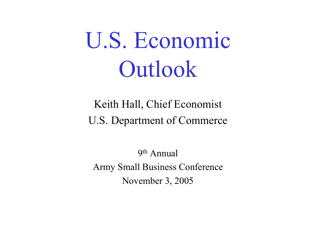# U.S. Economic Outlook

Keith Hall, Chief Economist U.S. Department of Commerce

9th Annual Army Small Business Conference November 3, 2005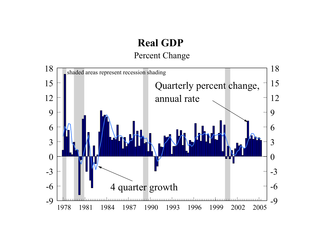# **Real GDP**

Percent Change

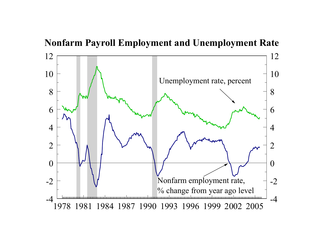

**Nonfarm Payroll Employment and Unemployment Rate**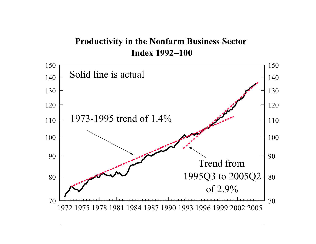**Productivity in the Nonfarm Business Sector Index 1992=100**

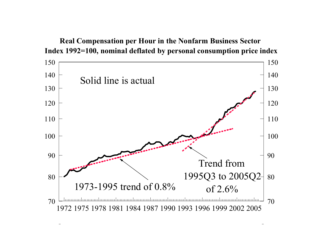

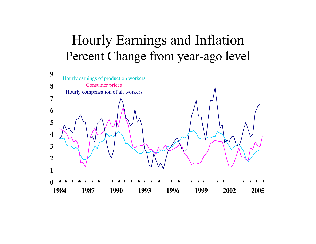## Hourly Earnings and Inflation Percent Change from year-ago level

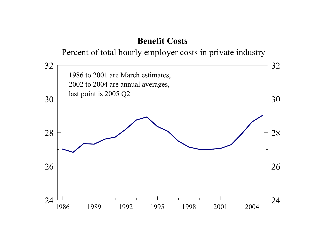### **Benefit Costs**

Percent of total hourly employer costs in private industry

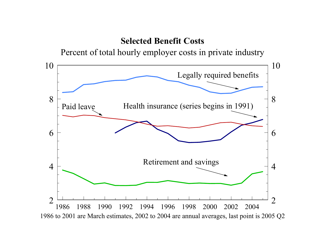#### **Selected Benefit Costs**

Percent of total hourly employer costs in private industry

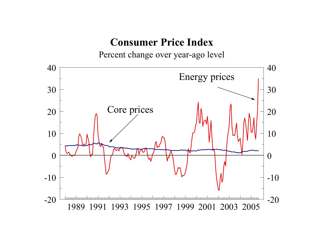## **Consumer Price Index**

Percent change over year-ago level

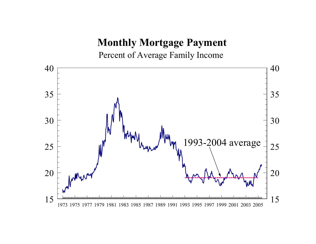## **Monthly Mortgage Payment**

Percent of Average Family Income

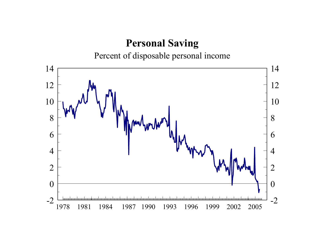## **Personal Saving**

Percent of disposable personal income

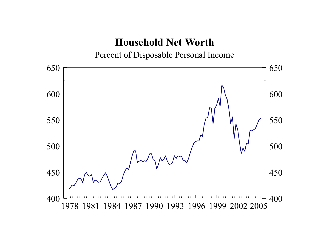## **Household Net Worth**

Percent of Disposable Personal Income

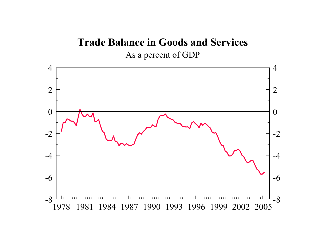## **Trade Balance in Goods and Services** As a percen<sup>t</sup> of GDP

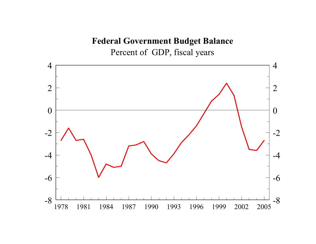**Federal Government Budget Balance** Percent of GDP, fiscal years

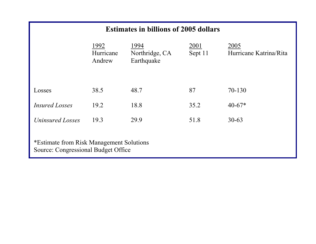#### **Estimates in billions of 2005 dollars**

|                                                                                 | 1992<br>Hurricane<br>Andrew | 1994<br>Northridge, CA<br>Earthquake | 2001<br>Sept 11 | 2005<br>Hurricane Katrina/Rita |  |  |  |  |
|---------------------------------------------------------------------------------|-----------------------------|--------------------------------------|-----------------|--------------------------------|--|--|--|--|
| Losses                                                                          | 38.5                        | 48.7                                 | 87              | 70-130                         |  |  |  |  |
| <i>Insured Losses</i>                                                           | 19.2                        | 18.8                                 | 35.2            | $40-67*$                       |  |  |  |  |
| Uninsured Losses                                                                | 19.3                        | 29.9                                 | 51.8            | $30 - 63$                      |  |  |  |  |
| *Estimate from Risk Management Solutions<br>Source: Congressional Budget Office |                             |                                      |                 |                                |  |  |  |  |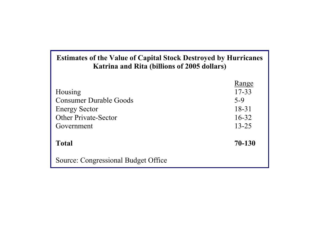#### **Estimates of the Value of Capital Stock Destroyed by Hurricanes Katrina and Rita (billions of 2005 dollars)**

|                                     | Range     |
|-------------------------------------|-----------|
| Housing                             | $17 - 33$ |
| <b>Consumer Durable Goods</b>       | $5-9$     |
| <b>Energy Sector</b>                | $18 - 31$ |
| <b>Other Private-Sector</b>         | $16 - 32$ |
| Government                          | $13 - 25$ |
|                                     |           |
| <b>Total</b>                        | 70-130    |
| Source: Congressional Budget Office |           |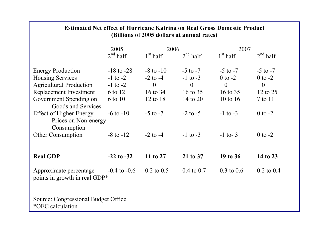| <b>Estimated Net effect of Hurricane Katrina on Real Gross Domestic Product</b><br>(Billions of 2005 dollars at annual rates) |                          |                |                       |                       |                |  |  |  |  |
|-------------------------------------------------------------------------------------------------------------------------------|--------------------------|----------------|-----------------------|-----------------------|----------------|--|--|--|--|
|                                                                                                                               | 2005                     | 2006           |                       | <u>2007</u>           |                |  |  |  |  |
|                                                                                                                               | $2^{\overline{nd}}$ half | $1st$ half     | 2 <sup>nd</sup> half  | $1st$ half            | $2nd$ half     |  |  |  |  |
| <b>Energy Production</b>                                                                                                      | $-18$ to $-28$           | $-8$ to $-10$  | $-5$ to $-7$          | $-5$ to $-7$          | $-5$ to $-7$   |  |  |  |  |
| <b>Housing Services</b>                                                                                                       | $-1$ to $-2$             | $-2$ to $-4$   | $-1$ to $-3$          | $0$ to $-2$           | $0$ to $-2$    |  |  |  |  |
| <b>Agricultural Production</b>                                                                                                | $-1$ to $-2$             | $\theta$       | $\overline{0}$        | $\theta$              | $\overline{0}$ |  |  |  |  |
| Replacement Investment                                                                                                        | 6 to 12                  | 16 to 34       | 16 to 35              | 16 to 35              | 12 to 25       |  |  |  |  |
| Government Spending on<br>Goods and Services                                                                                  | 6 to 10                  | 12 to 18       | 14 to 20              | 10 to $16$            | 7 to 11        |  |  |  |  |
| <b>Effect of Higher Energy</b><br>Prices on Non-energy<br>Consumption                                                         | $-6$ to $-10$            | $-5$ to $-7$   | $-2$ to $-5$          | $-1$ to $-3$          | $0$ to $-2$    |  |  |  |  |
| <b>Other Consumption</b>                                                                                                      | $-8$ to $-12$            | $-2$ to $-4$   | $-1$ to $-3$          | $-1$ to-3             | $0$ to $-2$    |  |  |  |  |
| <b>Real GDP</b>                                                                                                               | $-22$ to $-32$           | 11 to 27       | 21 to 37              | 19 to 36              | 14 to 23       |  |  |  |  |
| Approximate percentage<br>points in growth in real GDP*                                                                       | $-0.4$ to $-0.6$         | $0.2$ to $0.5$ | $0.4 \text{ to } 0.7$ | $0.3 \text{ to } 0.6$ | $0.2$ to $0.4$ |  |  |  |  |
| Source: Congressional Budget Office<br>*OEC calculation                                                                       |                          |                |                       |                       |                |  |  |  |  |